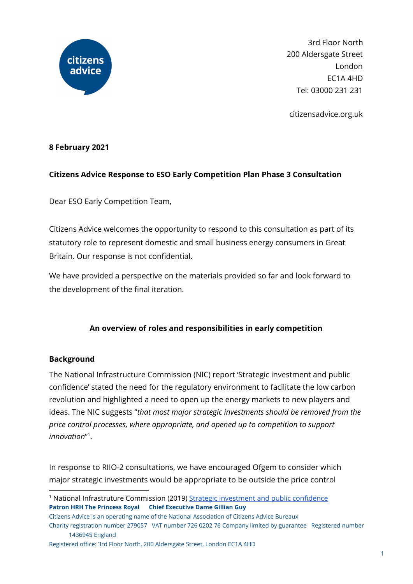

3rd Floor North 200 Aldersgate Street London EC1A 4HD Tel: 03000 231 231

citizensadvice.org.uk

# **8 February 2021**

## **Citizens Advice Response to ESO Early Competition Plan Phase 3 Consultation**

Dear ESO Early Competition Team,

Citizens Advice welcomes the opportunity to respond to this consultation as part of its statutory role to represent domestic and small business energy consumers in Great Britain. Our response is not confidential.

We have provided a perspective on the materials provided so far and look forward to the development of the final iteration.

## **An overview of roles and responsibilities in early competition**

## **Background**

The National Infrastructure Commission (NIC) report 'Strategic investment and public confidence' stated the need for the regulatory environment to facilitate the low carbon revolution and highlighted a need to open up the energy markets to new players and ideas. The NIC suggests "*that most major strategic investments should be removed from the price control processes, where appropriate, and opened up to competition to support innovation*" 1 .

In response to RIIO-2 consultations, we have encouraged Ofgem to consider which major strategic investments would be appropriate to be outside the price control

<sup>1</sup> National Infrastruture Commission (2019) Strategic [investment](https://nic.org.uk/app/uploads/NIC-Strategic-Investment-Public-Confidence-October-2019.pdf) and public confidence **Patron HRH The Princess Royal Chief Executive Dame Gillian Guy**

Citizens Advice is an operating name of the National Association of Citizens Advice Bureaux Charity registration number 279057 VAT number 726 0202 76 Company limited by guarantee Registered number 1436945 England

Registered office: 3rd Floor North, 200 Aldersgate Street, London EC1A 4HD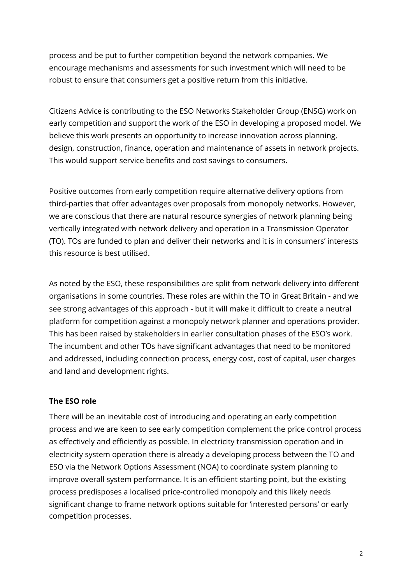process and be put to further competition beyond the network companies. We encourage mechanisms and assessments for such investment which will need to be robust to ensure that consumers get a positive return from this initiative.

Citizens Advice is contributing to the ESO Networks Stakeholder Group (ENSG) work on early competition and support the work of the ESO in developing a proposed model. We believe this work presents an opportunity to increase innovation across planning, design, construction, finance, operation and maintenance of assets in network projects. This would support service benefits and cost savings to consumers.

Positive outcomes from early competition require alternative delivery options from third-parties that offer advantages over proposals from monopoly networks. However, we are conscious that there are natural resource synergies of network planning being vertically integrated with network delivery and operation in a Transmission Operator (TO). TOs are funded to plan and deliver their networks and it is in consumers' interests this resource is best utilised.

As noted by the ESO, these responsibilities are split from network delivery into different organisations in some countries. These roles are within the TO in Great Britain - and we see strong advantages of this approach - but it will make it difficult to create a neutral platform for competition against a monopoly network planner and operations provider. This has been raised by stakeholders in earlier consultation phases of the ESO's work. The incumbent and other TOs have significant advantages that need to be monitored and addressed, including connection process, energy cost, cost of capital, user charges and land and development rights.

# **The ESO role**

There will be an inevitable cost of introducing and operating an early competition process and we are keen to see early competition complement the price control process as effectively and efficiently as possible. In electricity transmission operation and in electricity system operation there is already a developing process between the TO and ESO via the Network Options Assessment (NOA) to coordinate system planning to improve overall system performance. It is an efficient starting point, but the existing process predisposes a localised price-controlled monopoly and this likely needs significant change to frame network options suitable for 'interested persons' or early competition processes.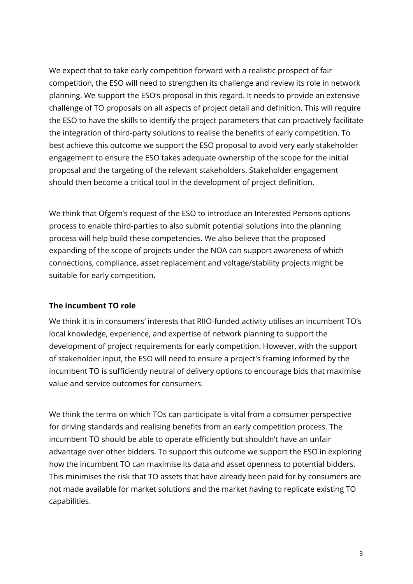We expect that to take early competition forward with a realistic prospect of fair competition, the ESO will need to strengthen its challenge and review its role in network planning. We support the ESO's proposal in this regard. It needs to provide an extensive challenge of TO proposals on all aspects of project detail and definition. This will require the ESO to have the skills to identify the project parameters that can proactively facilitate the integration of third-party solutions to realise the benefits of early competition. To best achieve this outcome we support the ESO proposal to avoid very early stakeholder engagement to ensure the ESO takes adequate ownership of the scope for the initial proposal and the targeting of the relevant stakeholders. Stakeholder engagement should then become a critical tool in the development of project definition.

We think that Ofgem's request of the ESO to introduce an Interested Persons options process to enable third-parties to also submit potential solutions into the planning process will help build these competencies. We also believe that the proposed expanding of the scope of projects under the NOA can support awareness of which connections, compliance, asset replacement and voltage/stability projects might be suitable for early competition.

## **The incumbent TO role**

We think it is in consumers' interests that RIIO-funded activity utilises an incumbent TO's local knowledge, experience, and expertise of network planning to support the development of project requirements for early competition. However, with the support of stakeholder input, the ESO will need to ensure a project's framing informed by the incumbent TO is sufficiently neutral of delivery options to encourage bids that maximise value and service outcomes for consumers.

We think the terms on which TOs can participate is vital from a consumer perspective for driving standards and realising benefits from an early competition process. The incumbent TO should be able to operate efficiently but shouldn't have an unfair advantage over other bidders. To support this outcome we support the ESO in exploring how the incumbent TO can maximise its data and asset openness to potential bidders. This minimises the risk that TO assets that have already been paid for by consumers are not made available for market solutions and the market having to replicate existing TO capabilities.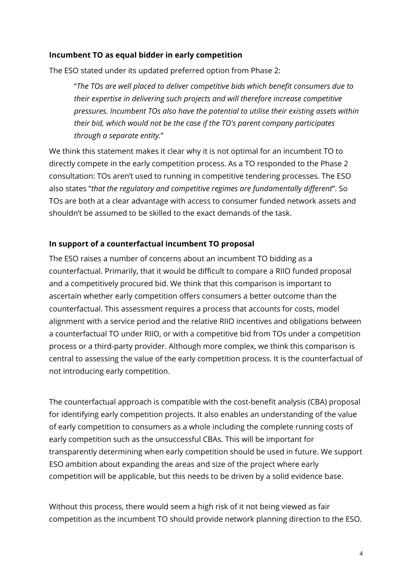## **Incumbent TO as equal bidder in early competition**

The ESO stated under its updated preferred option from Phase 2:

"*The TOs are well placed to deliver competitive bids which benefit consumers due to their expertise in delivering such projects and will therefore increase competitive pressures. Incumbent TOs also have the potential to utilise their existing assets within their bid, which would not be the case if the TO's parent company participates through a separate entity.*"

We think this statement makes it clear why it is not optimal for an incumbent TO to directly compete in the early competition process. As a TO responded to the Phase 2 consultation: TOs aren't used to running in competitive tendering processes. The ESO also states "*that the regulatory and competitive regimes are fundamentally different*". So TOs are both at a clear advantage with access to consumer funded network assets and shouldn't be assumed to be skilled to the exact demands of the task.

# **In support of a counterfactual incumbent TO proposal**

The ESO raises a number of concerns about an incumbent TO bidding as a counterfactual. Primarily, that it would be difficult to compare a RIIO funded proposal and a competitively procured bid. We think that this comparison is important to ascertain whether early competition offers consumers a better outcome than the counterfactual. This assessment requires a process that accounts for costs, model alignment with a service period and the relative RIIO incentives and obligations between a counterfactual TO under RIIO, or with a competitive bid from TOs under a competition process or a third-party provider. Although more complex, we think this comparison is central to assessing the value of the early competition process. It is the counterfactual of not introducing early competition.

The counterfactual approach is compatible with the cost-benefit analysis (CBA) proposal for identifying early competition projects. It also enables an understanding of the value of early competition to consumers as a whole including the complete running costs of early competition such as the unsuccessful CBAs. This will be important for transparently determining when early competition should be used in future. We support ESO ambition about expanding the areas and size of the project where early competition will be applicable, but this needs to be driven by a solid evidence base.

Without this process, there would seem a high risk of it not being viewed as fair competition as the incumbent TO should provide network planning direction to the ESO.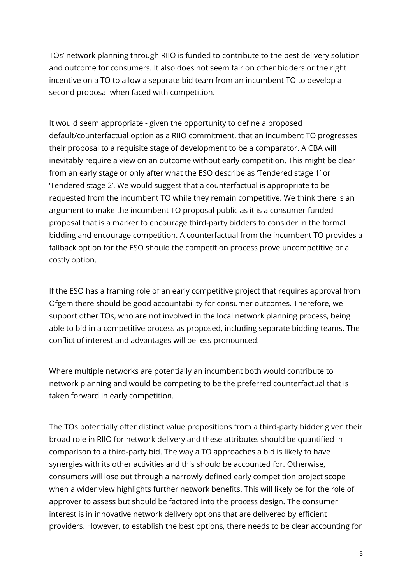TOs' network planning through RIIO is funded to contribute to the best delivery solution and outcome for consumers. It also does not seem fair on other bidders or the right incentive on a TO to allow a separate bid team from an incumbent TO to develop a second proposal when faced with competition.

It would seem appropriate - given the opportunity to define a proposed default/counterfactual option as a RIIO commitment, that an incumbent TO progresses their proposal to a requisite stage of development to be a comparator. A CBA will inevitably require a view on an outcome without early competition. This might be clear from an early stage or only after what the ESO describe as 'Tendered stage 1' or 'Tendered stage 2'. We would suggest that a counterfactual is appropriate to be requested from the incumbent TO while they remain competitive. We think there is an argument to make the incumbent TO proposal public as it is a consumer funded proposal that is a marker to encourage third-party bidders to consider in the formal bidding and encourage competition. A counterfactual from the incumbent TO provides a fallback option for the ESO should the competition process prove uncompetitive or a costly option.

If the ESO has a framing role of an early competitive project that requires approval from Ofgem there should be good accountability for consumer outcomes. Therefore, we support other TOs, who are not involved in the local network planning process, being able to bid in a competitive process as proposed, including separate bidding teams. The conflict of interest and advantages will be less pronounced.

Where multiple networks are potentially an incumbent both would contribute to network planning and would be competing to be the preferred counterfactual that is taken forward in early competition.

The TOs potentially offer distinct value propositions from a third-party bidder given their broad role in RIIO for network delivery and these attributes should be quantified in comparison to a third-party bid. The way a TO approaches a bid is likely to have synergies with its other activities and this should be accounted for. Otherwise, consumers will lose out through a narrowly defined early competition project scope when a wider view highlights further network benefits. This will likely be for the role of approver to assess but should be factored into the process design. The consumer interest is in innovative network delivery options that are delivered by efficient providers. However, to establish the best options, there needs to be clear accounting for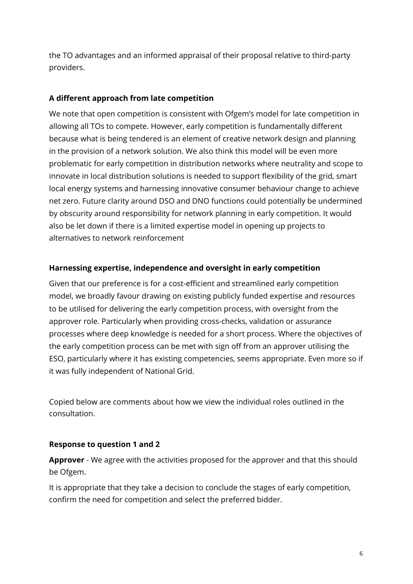the TO advantages and an informed appraisal of their proposal relative to third-party providers.

# **A different approach from late competition**

We note that open competition is consistent with Ofgem's model for late competition in allowing all TOs to compete. However, early competition is fundamentally different because what is being tendered is an element of creative network design and planning in the provision of a network solution. We also think this model will be even more problematic for early competition in distribution networks where neutrality and scope to innovate in local distribution solutions is needed to support flexibility of the grid, smart local energy systems and harnessing innovative consumer behaviour change to achieve net zero. Future clarity around DSO and DNO functions could potentially be undermined by obscurity around responsibility for network planning in early competition. It would also be let down if there is a limited expertise model in opening up projects to alternatives to network reinforcement

# **Harnessing expertise, independence and oversight in early competition**

Given that our preference is for a cost-efficient and streamlined early competition model, we broadly favour drawing on existing publicly funded expertise and resources to be utilised for delivering the early competition process, with oversight from the approver role. Particularly when providing cross-checks, validation or assurance processes where deep knowledge is needed for a short process. Where the objectives of the early competition process can be met with sign off from an approver utilising the ESO, particularly where it has existing competencies, seems appropriate. Even more so if it was fully independent of National Grid.

Copied below are comments about how we view the individual roles outlined in the consultation.

# **Response to question 1 and 2**

**Approver** - We agree with the activities proposed for the approver and that this should be Ofgem.

It is appropriate that they take a decision to conclude the stages of early competition, confirm the need for competition and select the preferred bidder.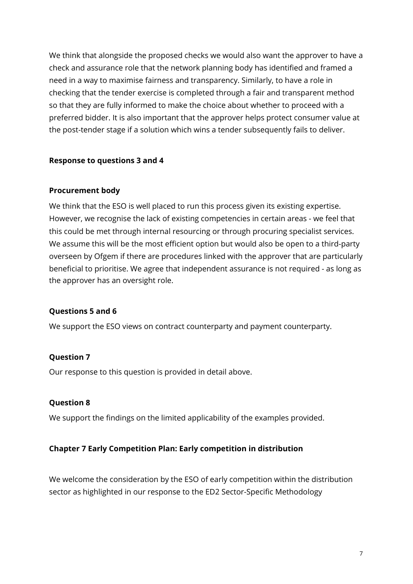We think that alongside the proposed checks we would also want the approver to have a check and assurance role that the network planning body has identified and framed a need in a way to maximise fairness and transparency. Similarly, to have a role in checking that the tender exercise is completed through a fair and transparent method so that they are fully informed to make the choice about whether to proceed with a preferred bidder. It is also important that the approver helps protect consumer value at the post-tender stage if a solution which wins a tender subsequently fails to deliver.

#### **Response to questions 3 and 4**

#### **Procurement body**

We think that the ESO is well placed to run this process given its existing expertise. However, we recognise the lack of existing competencies in certain areas - we feel that this could be met through internal resourcing or through procuring specialist services. We assume this will be the most efficient option but would also be open to a third-party overseen by Ofgem if there are procedures linked with the approver that are particularly beneficial to prioritise. We agree that independent assurance is not required - as long as the approver has an oversight role.

#### **Questions 5 and 6**

We support the ESO views on contract counterparty and payment counterparty.

#### **Question 7**

Our response to this question is provided in detail above.

#### **Question 8**

We support the findings on the limited applicability of the examples provided.

#### **Chapter 7 Early Competition Plan: Early competition in distribution**

We welcome the consideration by the ESO of early competition within the distribution sector as highlighted in our response to the ED2 Sector-Specific Methodology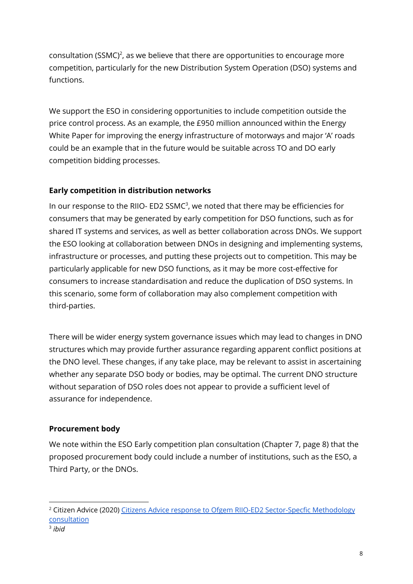consultation (SSMC)<sup>2</sup>, as we believe that there are opportunities to encourage more competition, particularly for the new Distribution System Operation (DSO) systems and functions.

We support the ESO in considering opportunities to include competition outside the price control process. As an example, the £950 million announced within the Energy White Paper for improving the energy infrastructure of motorways and major 'A' roads could be an example that in the future would be suitable across TO and DO early competition bidding processes.

# **Early competition in distribution networks**

In our response to the RIIO- ED2 SSM $C^3$ , we noted that there may be efficiencies for consumers that may be generated by early competition for DSO functions, such as for shared IT systems and services, as well as better collaboration across DNOs. We support the ESO looking at collaboration between DNOs in designing and implementing systems, infrastructure or processes, and putting these projects out to competition. This may be particularly applicable for new DSO functions, as it may be more cost-effective for consumers to increase standardisation and reduce the duplication of DSO systems. In this scenario, some form of collaboration may also complement competition with third-parties.

There will be wider energy system governance issues which may lead to changes in DNO structures which may provide further assurance regarding apparent conflict positions at the DNO level. These changes, if any take place, may be relevant to assist in ascertaining whether any separate DSO body or bodies, may be optimal. The current DNO structure without separation of DSO roles does not appear to provide a sufficient level of assurance for independence.

# **Procurement body**

We note within the ESO Early competition plan consultation (Chapter 7, page 8) that the proposed procurement body could include a number of institutions, such as the ESO, a Third Party, or the DNOs.

<sup>&</sup>lt;sup>2</sup> Citizen Advice (2020) Citizens Advice response to Ofgem RIIO-ED2 [Sector-Specfic](https://www.citizensadvice.org.uk/about-us/policy/policy-research-topics/energy-policy-research-and-consultation-responses/energy-consultation-responses/citizens-advice-response-to-ofgem-riio-ed2-methodology-consultation/) Methodology [consultation](https://www.citizensadvice.org.uk/about-us/policy/policy-research-topics/energy-policy-research-and-consultation-responses/energy-consultation-responses/citizens-advice-response-to-ofgem-riio-ed2-methodology-consultation/)

<sup>3</sup> *ibid*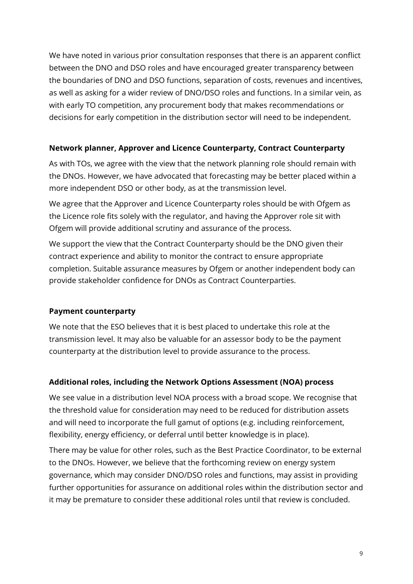We have noted in various prior consultation responses that there is an apparent conflict between the DNO and DSO roles and have encouraged greater transparency between the boundaries of DNO and DSO functions, separation of costs, revenues and incentives, as well as asking for a wider review of DNO/DSO roles and functions. In a similar vein, as with early TO competition, any procurement body that makes recommendations or decisions for early competition in the distribution sector will need to be independent.

# **Network planner, Approver and Licence Counterparty, Contract Counterparty**

As with TOs, we agree with the view that the network planning role should remain with the DNOs. However, we have advocated that forecasting may be better placed within a more independent DSO or other body, as at the transmission level.

We agree that the Approver and Licence Counterparty roles should be with Ofgem as the Licence role fits solely with the regulator, and having the Approver role sit with Ofgem will provide additional scrutiny and assurance of the process.

We support the view that the Contract Counterparty should be the DNO given their contract experience and ability to monitor the contract to ensure appropriate completion. Suitable assurance measures by Ofgem or another independent body can provide stakeholder confidence for DNOs as Contract Counterparties.

# **Payment counterparty**

We note that the ESO believes that it is best placed to undertake this role at the transmission level. It may also be valuable for an assessor body to be the payment counterparty at the distribution level to provide assurance to the process.

## **Additional roles, including the Network Options Assessment (NOA) process**

We see value in a distribution level NOA process with a broad scope. We recognise that the threshold value for consideration may need to be reduced for distribution assets and will need to incorporate the full gamut of options (e.g. including reinforcement, flexibility, energy efficiency, or deferral until better knowledge is in place).

There may be value for other roles, such as the Best Practice Coordinator, to be external to the DNOs. However, we believe that the forthcoming review on energy system governance, which may consider DNO/DSO roles and functions, may assist in providing further opportunities for assurance on additional roles within the distribution sector and it may be premature to consider these additional roles until that review is concluded.